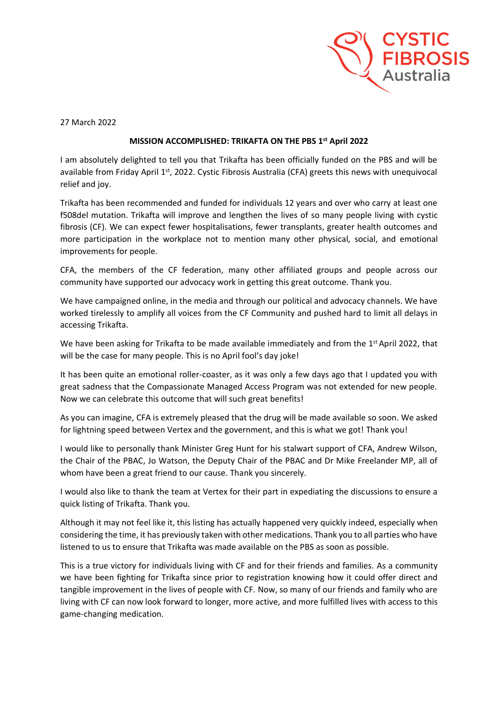

27 March 2022

## **MISSION ACCOMPLISHED: TRIKAFTA ON THE PBS 1st April 2022**

I am absolutely delighted to tell you that Trikafta has been officially funded on the PBS and will be available from Friday April 1<sup>st</sup>, 2022. Cystic Fibrosis Australia (CFA) greets this news with unequivocal relief and joy.

Trikafta has been recommended and funded for individuals 12 years and over who carry at least one f508del mutation. Trikafta will improve and lengthen the lives of so many people living with cystic fibrosis (CF). We can expect fewer hospitalisations, fewer transplants, greater health outcomes and more participation in the workplace not to mention many other physical, social, and emotional improvements for people.

CFA, the members of the CF federation, many other affiliated groups and people across our community have supported our advocacy work in getting this great outcome. Thank you.

We have campaigned online, in the media and through our political and advocacy channels. We have worked tirelessly to amplify all voices from the CF Community and pushed hard to limit all delays in accessing Trikafta.

We have been asking for Trikafta to be made available immediately and from the 1<sup>st</sup> April 2022, that will be the case for many people. This is no April fool's day joke!

It has been quite an emotional roller-coaster, as it was only a few days ago that I updated you with great sadness that the Compassionate Managed Access Program was not extended for new people. Now we can celebrate this outcome that will such great benefits!

As you can imagine, CFA is extremely pleased that the drug will be made available so soon. We asked for lightning speed between Vertex and the government, and this is what we got! Thank you!

I would like to personally thank Minister Greg Hunt for his stalwart support of CFA, Andrew Wilson, the Chair of the PBAC, Jo Watson, the Deputy Chair of the PBAC and Dr Mike Freelander MP, all of whom have been a great friend to our cause. Thank you sincerely.

I would also like to thank the team at Vertex for their part in expediating the discussions to ensure a quick listing of Trikafta. Thank you.

Although it may not feel like it, this listing has actually happened very quickly indeed, especially when considering the time, it has previously taken with other medications. Thank you to all parties who have listened to us to ensure that Trikafta was made available on the PBS as soon as possible.

This is a true victory for individuals living with CF and for their friends and families. As a community we have been fighting for Trikafta since prior to registration knowing how it could offer direct and tangible improvement in the lives of people with CF. Now, so many of our friends and family who are living with CF can now look forward to longer, more active, and more fulfilled lives with access to this game-changing medication.